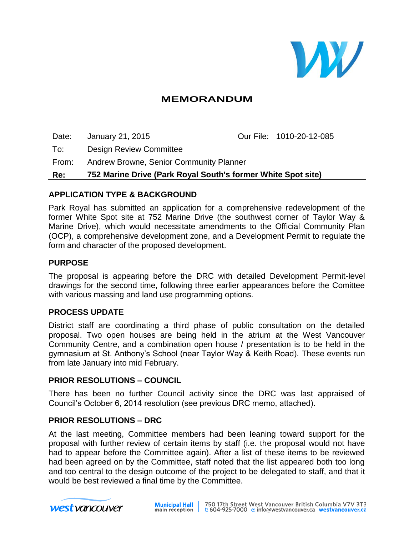

# **MEMORANDUM**

Date: January 21, 2015 Our File: 1010-20-12-085 To: Design Review Committee From: Andrew Browne, Senior Community Planner **Re: 752 Marine Drive (Park Royal South's former White Spot site)**

### **APPLICATION TYPE & BACKGROUND**

Park Royal has submitted an application for a comprehensive redevelopment of the former White Spot site at 752 Marine Drive (the southwest corner of Taylor Way & Marine Drive), which would necessitate amendments to the Official Community Plan (OCP), a comprehensive development zone, and a Development Permit to regulate the form and character of the proposed development.

#### **PURPOSE**

The proposal is appearing before the DRC with detailed Development Permit-level drawings for the second time, following three earlier appearances before the Comittee with various massing and land use programming options.

### **PROCESS UPDATE**

District staff are coordinating a third phase of public consultation on the detailed proposal. Two open houses are being held in the atrium at the West Vancouver Community Centre, and a combination open house / presentation is to be held in the gymnasium at St. Anthony's School (near Taylor Way & Keith Road). These events run from late January into mid February.

### **PRIOR RESOLUTIONS – COUNCIL**

There has been no further Council activity since the DRC was last appraised of Council's October 6, 2014 resolution (see previous DRC memo, attached).

#### **PRIOR RESOLUTIONS – DRC**

At the last meeting, Committee members had been leaning toward support for the proposal with further review of certain items by staff (i.e. the proposal would not have had to appear before the Committee again). After a list of these items to be reviewed had been agreed on by the Committee, staff noted that the list appeared both too long and too central to the design outcome of the project to be delegated to staff, and that it would be best reviewed a final time by the Committee.

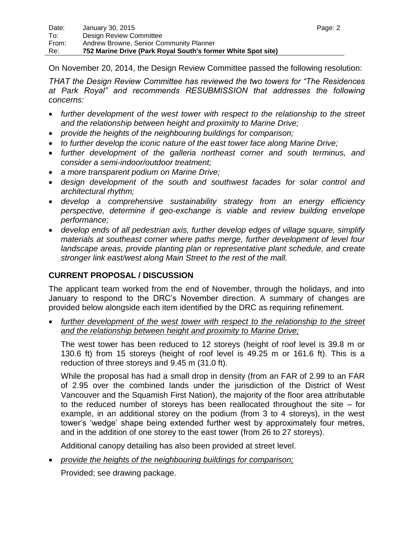On November 20, 2014, the Design Review Committee passed the following resolution:

*THAT the Design Review Committee has reviewed the two towers for "The Residences at Park Royal" and recommends RESUBMISSION that addresses the following concerns:*

- *further development of the west tower with respect to the relationship to the street and the relationship between height and proximity to Marine Drive;*
- *provide the heights of the neighbouring buildings for comparison;*
- *to further develop the iconic nature of the east tower face along Marine Drive;*
- *further development of the galleria northeast corner and south terminus, and consider a semi-indoor/outdoor treatment;*
- *a more transparent podium on Marine Drive;*
- *design development of the south and southwest facades for solar control and architectural rhythm;*
- *develop a comprehensive sustainability strategy from an energy efficiency perspective, determine if geo-exchange is viable and review building envelope performance;*
- *develop ends of all pedestrian axis, further develop edges of village square, simplify materials at southeast corner where paths merge, further development of level four landscape areas, provide planting plan or representative plant schedule, and create stronger link east/west along Main Street to the rest of the mall.*

## **CURRENT PROPOSAL / DISCUSSION**

The applicant team worked from the end of November, through the holidays, and into January to respond to the DRC's November direction. A summary of changes are provided below alongside each item identified by the DRC as requiring refinement.

further development of the west tower with respect to the relationship to the street *and the relationship between height and proximity to Marine Drive;*

The west tower has been reduced to 12 storeys (height of roof level is 39.8 m or 130.6 ft) from 15 storeys (height of roof level is 49.25 m or 161.6 ft). This is a reduction of three storeys and 9.45 m (31.0 ft).

While the proposal has had a small drop in density (from an FAR of 2.99 to an FAR of 2.95 over the combined lands under the jurisdiction of the District of West Vancouver and the Squamish First Nation), the majority of the floor area attributable to the reduced number of storeys has been reallocated throughout the site – for example, in an additional storey on the podium (from 3 to 4 storeys), in the west tower's 'wedge' shape being extended further west by approximately four metres, and in the addition of one storey to the east tower (from 26 to 27 storeys).

Additional canopy detailing has also been provided at street level.

*provide the heights of the neighbouring buildings for comparison;*

Provided; see drawing package.